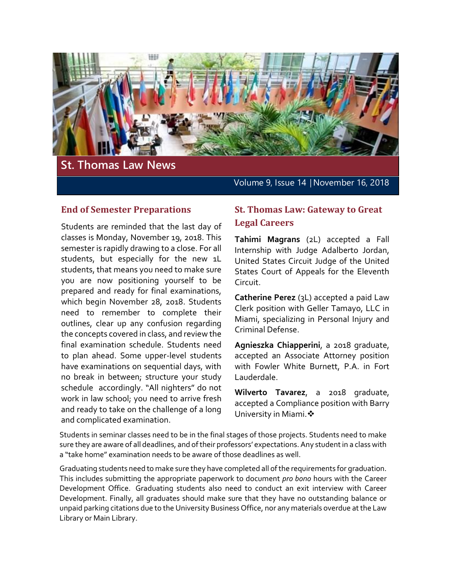

#### **End of Semester Preparations**

Students are reminded that the last day of classes is Monday, November 19, 2018. This semester is rapidly drawing to a close. For all students, but especially for the new 1L students, that means you need to make sure you are now positioning yourself to be prepared and ready for final examinations, which begin November 28, 2018. Students need to remember to complete their outlines, clear up any confusion regarding the concepts covered in class, and review the final examination schedule. Students need to plan ahead. Some upper-level students have examinations on sequential days, with no break in between; structure your study schedule accordingly. "All nighters" do not work in law school; you need to arrive fresh and ready to take on the challenge of a long and complicated examination.

# **St. Thomas Law: Gateway to Great Legal Careers**

**Tahimi Magrans** (2L) accepted a Fall Internship with Judge Adalberto Jordan, United States Circuit Judge of the United States Court of Appeals for the Eleventh Circuit.

**Catherine Perez** (3L) accepted a paid Law Clerk position with Geller Tamayo, LLC in Miami, specializing in Personal Injury and Criminal Defense.

**Agnieszka Chiapperini**, a 2018 graduate, accepted an Associate Attorney position with Fowler White Burnett, P.A. in Fort Lauderdale.

**Wilverto Tavarez**, a 2018 graduate, accepted a Compliance position with Barry University in Miami. \*

Students in seminar classes need to be in the final stages of those projects. Students need to make sure they are aware of all deadlines, and of their professors' expectations. Any student in a class with a "take home" examination needs to be aware of those deadlines as well.

Graduating students need to make sure they have completed all of the requirements for graduation. This includes submitting the appropriate paperwork to document *pro bono* hours with the Career Development Office. Graduating students also need to conduct an exit interview with Career Development. Finally, all graduates should make sure that they have no outstanding balance or unpaid parking citations due to the University Business Office, nor any materials overdue at the Law Library or Main Library.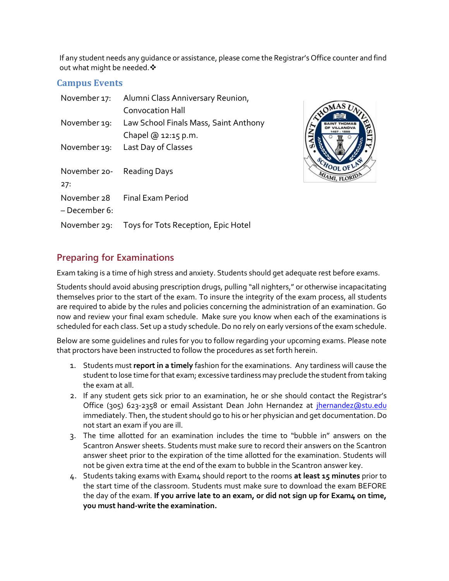If any student needs any guidance or assistance, please come the Registrar's Office counter and find out what might be needed.  $\mathbf{\hat{*}}$ 

#### **Campus Events**

| November 17:                     | Alumni Class Anniversary Reunion,<br><b>Convocation Hall</b>   |
|----------------------------------|----------------------------------------------------------------|
| November 19:                     | Law School Finals Mass, Saint Anthony<br>Chapel $@$ 12:15 p.m. |
| November 19:                     | Last Day of Classes                                            |
|                                  |                                                                |
| November 20- Reading Days<br>27: |                                                                |
| November 28<br>– December 6:     | Final Exam Period                                              |



# **Preparing for Examinations**

Exam taking is a time of high stress and anxiety. Students should get adequate rest before exams.

Students should avoid abusing prescription drugs, pulling "all nighters," or otherwise incapacitating themselves prior to the start of the exam. To insure the integrity of the exam process, all students are required to abide by the rules and policies concerning the administration of an examination. Go now and review your final exam schedule. Make sure you know when each of the examinations is scheduled for each class. Set up a study schedule. Do no rely on early versions of the exam schedule.

Below are some guidelines and rules for you to follow regarding your upcoming exams. Please note that proctors have been instructed to follow the procedures as set forth herein.

- 1. Students must **report in a timely** fashion for the examinations. Any tardiness will cause the student to lose time for that exam; excessive tardiness may preclude the student from taking the exam at all.
- 2. If any student gets sick prior to an examination, he or she should contact the Registrar's Office (305) 623-2358 or email Assistant Dean John Hernandez at *jhernandez@stu.edu* immediately. Then, the student should go to his or her physician and get documentation. Do not start an exam if you are ill.
- 3. The time allotted for an examination includes the time to "bubble in" answers on the Scantron Answer sheets. Students must make sure to record their answers on the Scantron answer sheet prior to the expiration of the time allotted for the examination. Students will not be given extra time at the end of the exam to bubble in the Scantron answer key.
- 4. Students taking exams with Exam4 should report to the rooms **at least 15 minutes** prior to the start time of the classroom. Students must make sure to download the exam BEFORE the day of the exam. If you arrive late to an exam, or did not sign up for Exam4 on time, **you must hand-write the examination.**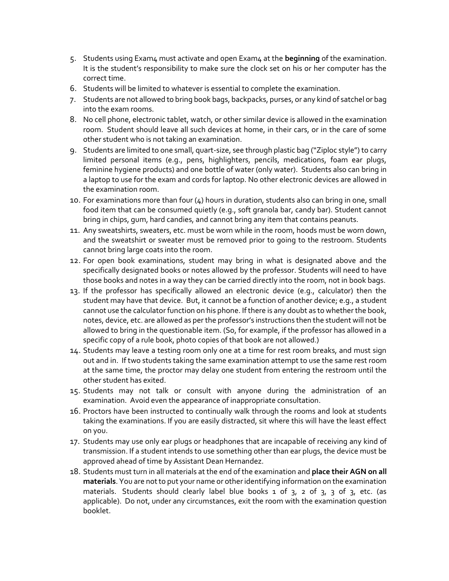- 5. Students using Exam4 must activate and open Exam4 at the **beginning** of the examination. It is the student's responsibility to make sure the clock set on his or her computer has the correct time.
- 6. Students will be limited to whatever is essential to complete the examination.
- 7. Students are not allowed to bring book bags, backpacks, purses, or any kind of satchel or bag into the exam rooms.
- 8. No cell phone, electronic tablet, watch, or other similar device is allowed in the examination room. Student should leave all such devices at home, in their cars, or in the care of some other student who is not taking an examination.
- 9. Students are limited to one small, quart-size, see through plastic bag ("Ziploc style") to carry limited personal items (e.g., pens, highlighters, pencils, medications, foam ear plugs, feminine hygiene products) and one bottle of water (only water). Students also can bring in a laptop to use for the exam and cords for laptop. No other electronic devices are allowed in the examination room.
- 10. For examinations more than four (4) hours in duration, students also can bring in one, small food item that can be consumed quietly (e.g., soft granola bar, candy bar). Student cannot bring in chips, gum, hard candies, and cannot bring any item that contains peanuts.
- 11. Any sweatshirts, sweaters, etc. must be worn while in the room, hoods must be worn down, and the sweatshirt or sweater must be removed prior to going to the restroom. Students cannot bring large coats into the room.
- 12. For open book examinations, student may bring in what is designated above and the specifically designated books or notes allowed by the professor. Students will need to have those books and notes in a way they can be carried directly into the room, not in book bags.
- 13. If the professor has specifically allowed an electronic device (e.g., calculator) then the student may have that device. But, it cannot be a function of another device; e.g., a student cannot use the calculator function on his phone. If there is any doubt as to whether the book, notes, device, etc. are allowed as per the professor's instructions then the student will not be allowed to bring in the questionable item. (So, for example, if the professor has allowed in a specific copy of a rule book, photo copies of that book are not allowed.)
- 14. Students may leave a testing room only one at a time for rest room breaks, and must sign out and in. If two students taking the same examination attempt to use the same rest room at the same time, the proctor may delay one student from entering the restroom until the other student has exited.
- 15. Students may not talk or consult with anyone during the administration of an examination. Avoid even the appearance of inappropriate consultation.
- 16. Proctors have been instructed to continually walk through the rooms and look at students taking the examinations. If you are easily distracted, sit where this will have the least effect on you.
- 17. Students may use only ear plugs or headphones that are incapable of receiving any kind of transmission. If a student intends to use something other than ear plugs, the device must be approved ahead of time by Assistant Dean Hernandez.
- 18. Students must turn in all materials at the end of the examination and **place their AGN on all materials**. You are not to put your name or other identifying information on the examination materials. Students should clearly label blue books 1 of 3, 2 of 3, 3 of 3, etc. (as applicable). Do not, under any circumstances, exit the room with the examination question booklet.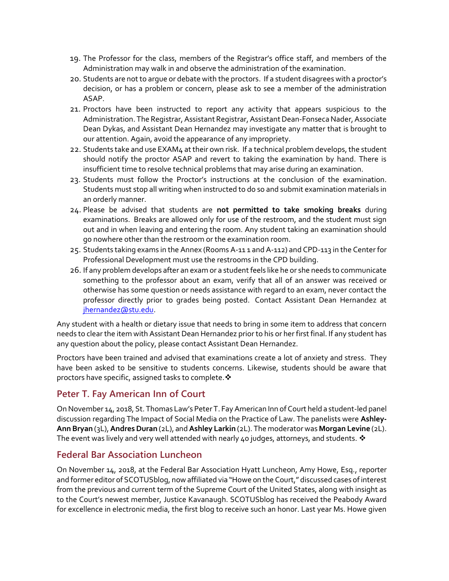- 19. The Professor for the class, members of the Registrar's office staff, and members of the Administration may walk in and observe the administration of the examination.
- 20. Students are not to argue or debate with the proctors. If a student disagrees with a proctor's decision, or has a problem or concern, please ask to see a member of the administration ASAP.
- 21. Proctors have been instructed to report any activity that appears suspicious to the Administration. The Registrar, Assistant Registrar, Assistant Dean-Fonseca Nader, Associate Dean Dykas, and Assistant Dean Hernandez may investigate any matter that is brought to our attention. Again, avoid the appearance of any impropriety.
- 22. Students take and use EXAM4 at their own risk. If a technical problem develops, the student should notify the proctor ASAP and revert to taking the examination by hand. There is insufficient time to resolve technical problems that may arise during an examination.
- 23. Students must follow the Proctor's instructions at the conclusion of the examination. Students must stop all writing when instructed to do so and submit examination materials in an orderly manner.
- 24. Please be advised that students are **not permitted to take smoking breaks** during examinations. Breaks are allowed only for use of the restroom, and the student must sign out and in when leaving and entering the room. Any student taking an examination should go nowhere other than the restroom or the examination room.
- 25. Students taking exams in the Annex (Rooms A-11 1 and A-112) and CPD-113 in the Center for Professional Development must use the restrooms in the CPD building.
- 26. If any problem develops after an exam or a student feels like he or she needs to communicate something to the professor about an exam, verify that all of an answer was received or otherwise has some question or needs assistance with regard to an exam, never contact the professor directly prior to grades being posted. Contact Assistant Dean Hernandez at [jhernandez@stu.edu.](mailto:jhernandez@stu.edu)

Any student with a health or dietary issue that needs to bring in some item to address that concern needs to clear the item with Assistant Dean Hernandez prior to his or her first final. If any student has any question about the policy, please contact Assistant Dean Hernandez.

Proctors have been trained and advised that examinations create a lot of anxiety and stress. They have been asked to be sensitive to students concerns. Likewise, students should be aware that proctors have specific, assigned tasks to complete.  $\mathbf{\hat{v}}$ 

# **Peter T. Fay American Inn of Court**

On November 14, 2018, St. Thomas Law's Peter T. Fay American Inn of Court held a student-led panel discussion regarding The Impact of Social Media on the Practice of Law. The panelists were **Ashley-Ann Bryan** (3L), **Andres Duran** (2L), and **Ashley Larkin** (2L). The moderator was **Morgan Levine** (2L). The event was lively and very well attended with nearly 40 judges, attorneys, and students.  $\mathbf{\hat{*}}$ 

## **Federal Bar Association Luncheon**

On November 14, 2018, at the Federal Bar Association Hyatt Luncheon, Amy Howe, Esq., reporter and former editor of SCOTUSblog, now affiliated via "Howe on the Court," discussed cases of interest from the previous and current term of the Supreme Court of the United States, along with insight as to the Court's newest member, Justice Kavanaugh. SCOTUSblog has received the Peabody Award for excellence in electronic media, the first blog to receive such an honor. Last year Ms. Howe given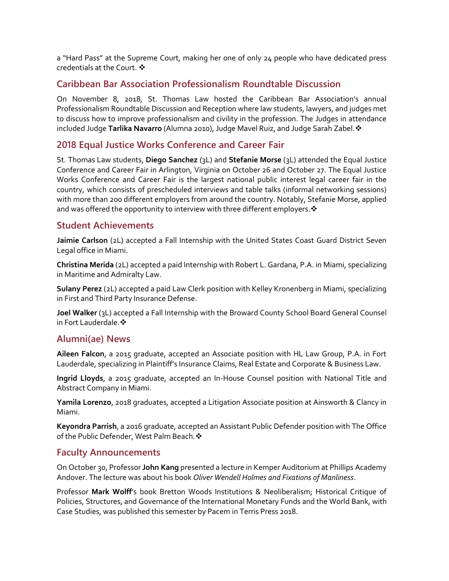a "Hard Pass" at the Supreme Court, making her one of only 24 people who have dedicated press credentials at the Court. ❖

## **Caribbean Bar Association Professionalism Roundtable Discussion**

On November 8, 2018, St. Thomas Law hosted the Caribbean Bar Association's annual Professionalism Roundtable Discussion and Reception where law students, lawyers, and judges met to discuss how to improve professionalism and civility in the profession. The Judges in attendance included Judge **Tarlika Navarro** (Alumna 2010), Judge Mavel Ruiz, and Judge Sarah Zabel.

## **2018 Equal Justice Works Conference and Career Fair**

St. Thomas Law students, **Diego Sanchez** (3L) and **Stefanie Morse** (3L) attended the Equal Justice Conference and Career Fair in Arlington, Virginia on October 26 and October 27. The Equal Justice Works Conference and Career Fair is the largest national public interest legal career fair in the country, which consists of prescheduled interviews and table talks (informal networking sessions) with more than 200 different employers from around the country. Notably, Stefanie Morse, applied and was offered the opportunity to interview with three different employers.  $\cdot$ 

### **Student Achievements**

**Jaimie Carlson** (2L) accepted a Fall Internship with the United States Coast Guard District Seven Legal office in Miami.

**Christina Merida** (2L) accepted a paid Internship with Robert L. Gardana, P.A. in Miami, specializing in Maritime and Admiralty Law.

**Sulany Perez** (2L) accepted a paid Law Clerk position with Kelley Kronenberg in Miami, specializing in First and Third Party Insurance Defense.

**Joel Walker** (3L) accepted a Fall Internship with the Broward County School Board General Counsel in Fort Lauderdale. ❖

## **Alumni(ae) News**

**Aileen Falcon**, a 2015 graduate, accepted an Associate position with HL Law Group, P.A. in Fort Lauderdale, specializing in Plaintiff's Insurance Claims, Real Estate and Corporate & Business Law.

**Ingrid Lloyds**, a 2015 graduate, accepted an In-House Counsel position with National Title and Abstract Company in Miami.

**Yamila Lorenzo**, 2018 graduates, accepted a Litigation Associate position at Ainsworth & Clancy in Miami.

**Keyondra Parrish**, a 2016 graduate, accepted an Assistant Public Defender position with The Office of the Public Defender, West Palm Beach. �

#### **Faculty Announcements**

On October 30, Professor **John Kang** presented a lecture in Kemper Auditorium at Phillips Academy Andover. The lecture was about his book *Oliver Wendell Holmes and Fixations of Manliness*.

Professor **Mark Wolff**'s book Bretton Woods Institutions & Neoliberalism; Historical Critique of Policies, Structures, and Governance of the International Monetary Funds and the World Bank, with Case Studies, was published this semester by Pacem in Terris Press 2018.